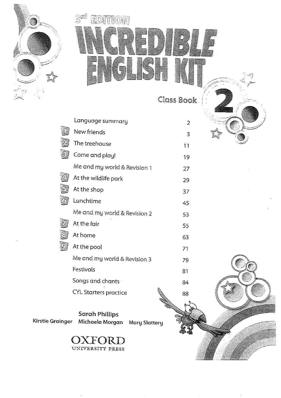

# ුමු ගු 單位圖 TH(O)A

Class Book

Language summary  $\overline{2}$ New friends I.  $\overline{3}$ The treehouse ධ  $11$ වූ Come and play! 19 Me and my world & Revision 1  $27$ At the wildlife park Æ 29 F At the shop 37  $\overline{\mathbb{G}}$ Lunchtime 45 Me and my world & Revision 2 53 At the fair 55 At home 3 63 At the pool  $|\mathcal{G}\rangle$ 71 Me and my world & Revision 3 79 Festivals 81 Songs and chants 84 **CYL Starters practice** 88

**Sarah Phillips Kirstie Grainger** Michaela Morgan Mary Slattery

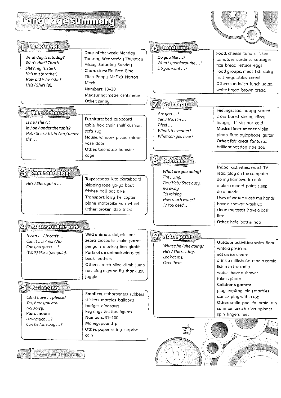# Language summary

| <u>Language summary</u>                                                                                                              |                                                                                                                                                                                                                           |                                                                                                                             |                                                                                                                                                                                                                   |
|--------------------------------------------------------------------------------------------------------------------------------------|---------------------------------------------------------------------------------------------------------------------------------------------------------------------------------------------------------------------------|-----------------------------------------------------------------------------------------------------------------------------|-------------------------------------------------------------------------------------------------------------------------------------------------------------------------------------------------------------------|
| <b>New friends</b>                                                                                                                   |                                                                                                                                                                                                                           | emainme                                                                                                                     |                                                                                                                                                                                                                   |
| What day is it today?<br>Who's that? That's<br>She's my (sister).<br>He's my (brother).<br>How old is he / she?<br>He's / She's (8). | Days of the week: Monday<br>Tuesday Wednesday Thursday<br>Friday Saturday Sunday<br>Characters: Flo Fred Bing<br>Titch Poppy Mr Fixit Norton<br>Mitch<br>Numbers: 13-30                                                   | Do you like ?<br>What's your favourite ?<br>Do you want ?                                                                   | Food: cheese tuna chicken<br>tomatoes sardines sausages<br>rice bread lettuce eggs<br>Food groups: meat fish dairy<br>fruit vegetables cereal<br>Other: sandwich lunch salad<br>white bread brown bread           |
|                                                                                                                                      | Measuring: metre centimetre<br>Other: sunny                                                                                                                                                                               |                                                                                                                             |                                                                                                                                                                                                                   |
| <u>earodearren u</u><br>Is he / she / it<br>in / on / under the table?<br>He's / She's / It's in / on / under<br>the                 | Furniture: bed cupboard<br>table box chair shelf cushion<br>sofa rug<br>House: window picure mirror<br>vase door<br>Other: treehouse hamster                                                                              | Are you ?<br>Yes. / No, I'm<br>$\textit{Iter}$<br>What's the matter?<br>What can you hear?                                  | Feelings: sad happy scared<br>cross bored sleepy dizzy<br>hungry thirsty hot cold<br>Musical instruments: violin<br>piano flute xylophone guitar<br>Other: fair great fantastic<br>brilliant hot dog ride zoo     |
|                                                                                                                                      | cage                                                                                                                                                                                                                      | <b>enroniena</b>                                                                                                            |                                                                                                                                                                                                                   |
| <u>Comeandplay</u><br>He's / She's got a                                                                                             | Toys: scooter kite skateboard<br>skipping rope yo-yo boat<br>frisbee ball bat bike<br>Transport: lorry helicopter<br>plane motorbike van wheel<br>Other: broken skip tricks                                               | What are you doing?<br>I'ming.<br>I'm / He's / She's busy.<br>Go away.<br>It's raining.<br>How much water?<br>I/You need    | Indoor activities: watch TV<br>read play on the computer<br>do my homework cook<br>make a model paint sleep<br>do a puzzle<br>Uses of water: wash my hands<br>have a shower wash up<br>clean my teeth have a bath |
|                                                                                                                                      |                                                                                                                                                                                                                           |                                                                                                                             | litre<br>Other: hole bottle hop                                                                                                                                                                                   |
| <i><b>AG GALLING DELL'</b></i><br>It can  / It can't<br>Can it ? / Yes / No<br>Can you guess ?<br>(Walk) like a (penguin).           | Wild animals: dolphin bat<br>zebra crocodile snake parrot<br>penguin monkey lion giraffe<br>Parts of an animal: wings tail<br>beak feathers<br>Other: stretch slide climb jump<br>run play a game fly thank you<br>juggle | $\widehat{\mathscr{L}}$<br><b>from entropy</b><br>What's he / she doing?<br>He's / She's ing.<br>Look at me.<br>Over there. | Outdoor activities: swim float<br>write a postcard<br>eat an ice cream<br>drink a milkshake read a comic<br>listen to the radio<br>watch have a shower                                                            |
| Goneentr <i>u</i> s<br>Can I have  please?<br>Yes, here you are.<br>No, sorry.<br>Plural nouns<br>How much ?<br>Can he / she buy ?   | Small toys: sharpeners rubbers<br>stickers marbles balloons<br>badges dinosaurs<br>key rings felt tips figures<br>Numbers: 31-100<br>Money: pound p<br>Other: paper string surprise<br>coin                               |                                                                                                                             | take a photo<br>Children's games:<br>play leapfrog play marbles<br>dance play with a top<br>Other: smile pool fountain sun<br>summer beach river spinner<br>spin fingers feet                                     |
| <u>Leingwoor suimmanu</u>                                                                                                            |                                                                                                                                                                                                                           |                                                                                                                             |                                                                                                                                                                                                                   |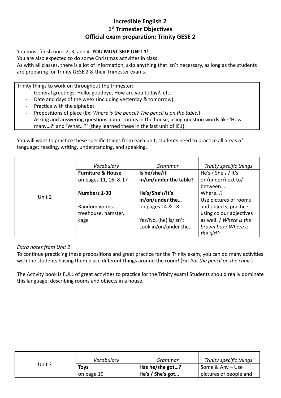## **Incredible English 2 1st Trimester Objectives Official exam preparation: Trinity GESE 2**

You must finish units 2, 3, and 4. **YOU MUST SKIP UNIT 1!** 

You are also expected to do some Christmas activities in class.

As with all classes, there is a lot of information, skip anything that isn't necessary, as long as the students are preparing for Trinity GESE 2 & their Trimester exams.

Trinity things to work on throughout the trimester:

- General greetings: Hello, goodbye, How are you today?, etc.
- Date and days of the week (including yesterday & tomorrow)
- Practice with the alphabet
- Prepositions of place (Ex: Where is the pencil? The pencil is on the table.)
- Asking and answering questions about rooms in the house, using question words like 'How
- many…?' and 'What…?' (they learned these in the last unit of IE1)

You will want to practice these specific things from each unit, students need to practice all areas of language: reading, writing, understanding, and speaking.

|        | Vocabulary                   | Grammar                | Trinity specific things |
|--------|------------------------------|------------------------|-------------------------|
|        | <b>Furniture &amp; House</b> | Is he/she/it           | He's / She's / It's     |
|        | on pages 11, 16, & 17        | in/on/under the table? | on/under/next to/       |
|        |                              |                        | between                 |
|        | Numbers 1-30                 | He's/She's/It's        | Where?                  |
| Unit 2 |                              | in/on/under the        | Use pictures of rooms   |
|        | Random words:                | on pages 14 & 18       | and objects, practice   |
|        | treehouse, hamster,          |                        | using colour adjectives |
|        | cage                         | Yes/No, (he) is/isn't. | as well. / Where is the |
|        |                              | Look in/on/under the   | brown box? Where is     |
|        |                              |                        | the girl?               |

#### *Extra notes from Unit 2* :

To continue practicing these prepositions and great practice for the Trinity exam, you can do many activities with the students having them place different things around the room! (Ex: *Put the pencil on the chair.* )

The Activity book is FULL of great activities to practice for the Trinity exam! Students should really dominate this language, describing rooms and objects in a house.

|        | Vocabulary  | Grammar                 | Trinity specific things |
|--------|-------------|-------------------------|-------------------------|
| Unit 3 | <b>Toys</b> | $\vert$ Has he/she got? | Some & Any - Use        |
|        | on page 19  | He's / She's got        | pictures of people and  |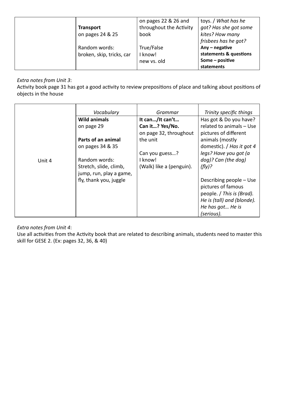|                  |                           | on pages 22 & 26 and    | toys. / What has he    |
|------------------|---------------------------|-------------------------|------------------------|
| <b>Transport</b> |                           | throughout the Activity | got? Has she got some  |
|                  | on pages 24 & 25          | book                    | kites? How many        |
|                  |                           |                         | frisbees has he got?   |
|                  | Random words:             | True/False              | Any $-$ negative       |
|                  | broken, skip, tricks, car | I know!                 | statements & questions |
|                  |                           | new vs. old             | Some - positive        |
|                  |                           |                         | statements             |

#### *Extra notes from Unit 3* :

Activity book page 31 has got a good activity to review prepositions of place and talking about positions of objects in the house

|        | Vocabulary                                        | Grammar                  | Trinity specific things                                                                                                      |
|--------|---------------------------------------------------|--------------------------|------------------------------------------------------------------------------------------------------------------------------|
|        | <b>Wild animals</b>                               | It can/It can't          | Has got & Do you have?                                                                                                       |
|        | on page 29                                        | Can it? Yes/No.          | related to animals - Use                                                                                                     |
|        |                                                   | on page 32, throughout   | pictures of different                                                                                                        |
|        | Parts of an animal                                | the unit                 | animals (mostly                                                                                                              |
|        | on pages 34 & 35                                  |                          | domestic). / Has it got 4                                                                                                    |
|        |                                                   | Can you guess?           | legs? Have you got (a                                                                                                        |
| Unit 4 | Random words:                                     | I know!                  | dog)? Can (the dog)                                                                                                          |
|        | Stretch, slide, climb,<br>jump, run, play a game, | (Walk) like a (penguin). | (fly)?                                                                                                                       |
|        | fly, thank you, juggle                            |                          | Describing people - Use<br>pictures of famous<br>people. / This is (Brad).<br>He is (tall) and (blonde).<br>He has got He is |
|        |                                                   |                          | (serious).                                                                                                                   |

#### *Extra notes from Unit 4* :

Use all activities from the Activity book that are related to describing animals, students need to master this skill for GESE 2. (Ex: pages 32, 36, & 40)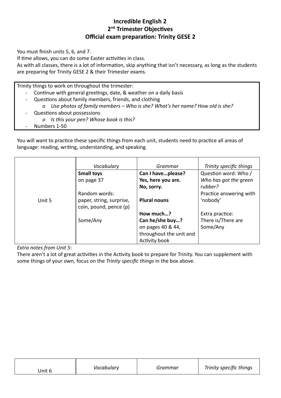# **Incredible English 2** 2<sup>nd</sup> Trimester Objectives **Official exam preparation: Trinity GESE 2**

You must finish units 5, 6, and 7.

If time allows, you can do some Easter activities in class.

As with all classes, there is a lot of information, skip anything that isn't necessary, as long as the students are preparing for Trinity GESE 2 & their Trimester exams.

Trinity things to work on throughout the trimester:

- Continue with general greetings, date, & weather on a daily basis
- Questions about family members, friends, and clothing
	- *o Use photos of family members Who is she? What's her name? How old is she?*
- Questions about possessions
	- *o Is this your pen? Whose book is this?*
- *-* Numbers 1-50

You will want to practice these specific things from each unit, students need to practice all areas of language: reading, writing, understanding, and speaking.

|        | Vocabulary                                         | Grammar                 | Trinity specific things |
|--------|----------------------------------------------------|-------------------------|-------------------------|
|        | <b>Small toys</b>                                  | Can I haveplease?       | Question word: Who /    |
|        | on page 37                                         | Yes, here you are.      | Who has got the green   |
|        |                                                    | No, sorry.              | rubber?                 |
|        | Random words:                                      |                         | Practice answering with |
| Unit 5 | paper, string, surprise,<br>coin, pound, pence (p) | <b>Plural nouns</b>     | 'nobody'                |
|        |                                                    | How much?               | Extra practice:         |
|        | Some/Any                                           | Can he/she buy?         | There is/There are      |
|        |                                                    | on pages 40 & 44,       | Some/Any                |
|        |                                                    | throughout the unit and |                         |
|        |                                                    | Activity book           |                         |

*Extra notes from Unit 5* :

There aren't a lot of great activities in the Activity book to prepare for Trinity. You can supplement with some things of your own, focus on the *Trinity specific things* in the box above.

| Jnit 6 | Vocabulary | Grammar | Trinity specific things |
|--------|------------|---------|-------------------------|
|--------|------------|---------|-------------------------|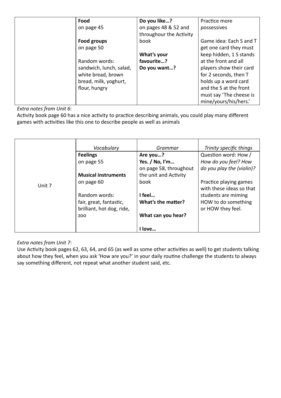| Food                    | Do you like?            | Practice more           |
|-------------------------|-------------------------|-------------------------|
| on page 45              | on pages 48 & 52 and    | possessives             |
|                         | throughour the Activity |                         |
| Food groups             | book                    | Game idea: Each S and T |
| on page 50              |                         | get one card they must  |
|                         | What's your             | keep hidden, 1 S stands |
| Random words:           | favourite?              | at the front and all    |
| sandwich, lunch, salad, | Do you want?            | players show their card |
| white bread, brown      |                         | for 2 seconds, then T   |
| bread, milk, yoghurt,   |                         | holds up a word card    |
| flour, hungry           |                         | and the S at the front  |
|                         |                         | must say 'The cheese is |
|                         |                         | mine/yours/his/hers.'   |

*Extra notes from Unit 6* :

Activity book page 60 has a nice activity to practice describing animals, you could play many different games with activities like this one to describe people as well as animals

|        | Vocabulary                 | Grammar                | Trinity specific things   |
|--------|----------------------------|------------------------|---------------------------|
|        | <b>Feelings</b>            | Are you?               | Question word: How /      |
|        | on page 55                 | Yes. / No, I'm         | How do you feel? How      |
|        |                            | on page 58, throughout | do you play the (violin)? |
|        | <b>Musical instruments</b> | the unit and Activity  |                           |
| Unit 7 | on page 60                 | book                   | Practice playing games    |
|        |                            |                        | with these ideas so that  |
|        | Random words:              | I feel                 | students are miming       |
|        | fair, great, fantastic,    | What's the matter?     | HOW to do something       |
|        | brilliant, hot dog, ride,  |                        | or HOW they feel.         |
|        | ZOO                        | What can you hear?     |                           |
|        |                            |                        |                           |
|        |                            | love                   |                           |

*Extra notes from Unit 7* :

Use Activity book pages 62, 63, 64, and 65 (as well as some other activities as well) to get students talking about how they feel, when you ask 'How are you?' in your daily routine challenge the students to always say something different, not repeat what another student said, etc.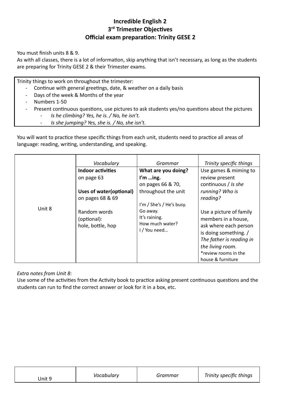# **Incredible English 2 3<sup>rd</sup>** Trimester Objectives **Official exam preparation: Trinity GESE 2**

You must finish units 8 & 9.

As with all classes, there is a lot of information, skip anything that isn't necessary, as long as the students are preparing for Trinity GESE 2 & their Trimester exams.

Trinity things to work on throughout the trimester:

- Continue with general greetings, date, & weather on a daily basis
- Days of the week & Months of the year
- Numbers 1-50
- Present continuous questions, use pictures to ask students yes/no questions about the pictures
	- *- Is he climbing? Yes, he is. / No, he isn't.*
	- *Is she jumping? Yes, she is. / No, she isn't.*

You will want to practice these specific things from each unit, students need to practice all areas of language: reading, writing, understanding, and speaking.

|        | Vocabulary               | Grammar                  | Trinity specific things  |
|--------|--------------------------|--------------------------|--------------------------|
|        | <b>Indoor activities</b> | What are you doing?      | Use games & miming to    |
|        | on page 63               | I'm $\ldots$ ing.        | review present           |
|        |                          | on pages 66 & 70,        | continuous / Is she      |
|        | Uses of water (optional) | throughout the unit      | running? Who is          |
|        | on pages 68 & 69         |                          | reading?                 |
|        |                          | I'm / She's / He's busy. |                          |
| Unit 8 | Random words             | Go away.                 | Use a picture of family  |
|        | (optional):              | It's raining.            | members in a house,      |
|        | hole, bottle, hop        | How much water?          | ask where each person    |
|        |                          | I / You need             | is doing something. /    |
|        |                          |                          | The father is reading in |
|        |                          |                          | the living room.         |
|        |                          |                          | *review rooms in the     |
|        |                          |                          | house & furniture        |

*Extra notes from Unit 8* :

Use some of the activities from the Activity book to practice asking present continuous questions and the students can run to find the correct answer or look for it in a box, etc.